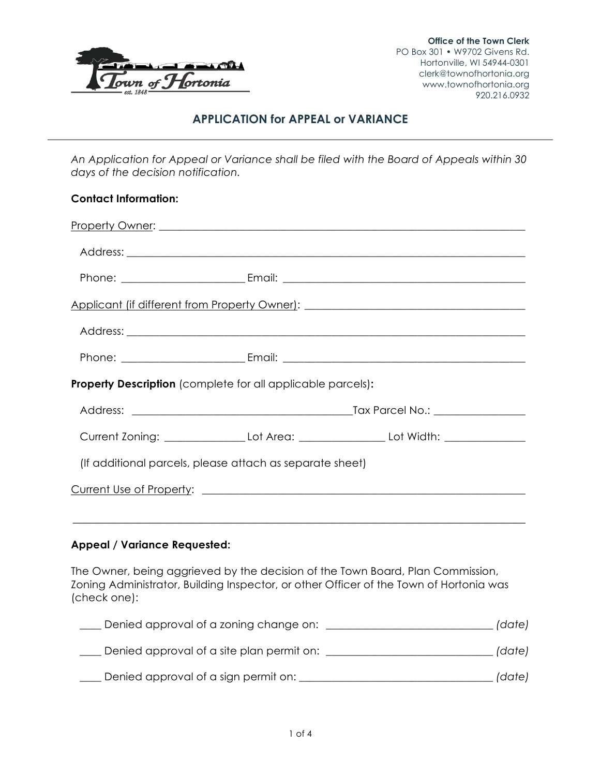

# **APPLICATION for APPEAL or VARIANCE**

*An Application for Appeal or Variance shall be filed with the Board of Appeals within 30 days of the decision notification.*

| <b>Contact Information:</b>                                        |                                                                                                     |
|--------------------------------------------------------------------|-----------------------------------------------------------------------------------------------------|
|                                                                    |                                                                                                     |
|                                                                    |                                                                                                     |
|                                                                    |                                                                                                     |
|                                                                    | Applicant (if different from Property Owner): ___________________________________                   |
|                                                                    |                                                                                                     |
|                                                                    |                                                                                                     |
| <b>Property Description</b> (complete for all applicable parcels): |                                                                                                     |
|                                                                    |                                                                                                     |
|                                                                    | Current Zoning: ___________________Lot Area: _______________________Lot Width: ____________________ |
| (If additional parcels, please attach as separate sheet)           |                                                                                                     |
|                                                                    |                                                                                                     |
|                                                                    |                                                                                                     |
| <b>Appeal / Variance Requested:</b>                                |                                                                                                     |

The Owner, being aggrieved by the decision of the Town Board, Plan Commission, Zoning Administrator, Building Inspector, or other Officer of the Town of Hortonia was (check one):

| Denied approval of a zoning change on:    | (date) |
|-------------------------------------------|--------|
| Denied approval of a site plan permit on: | (date) |
| Denied approval of a sign permit on:      | (date) |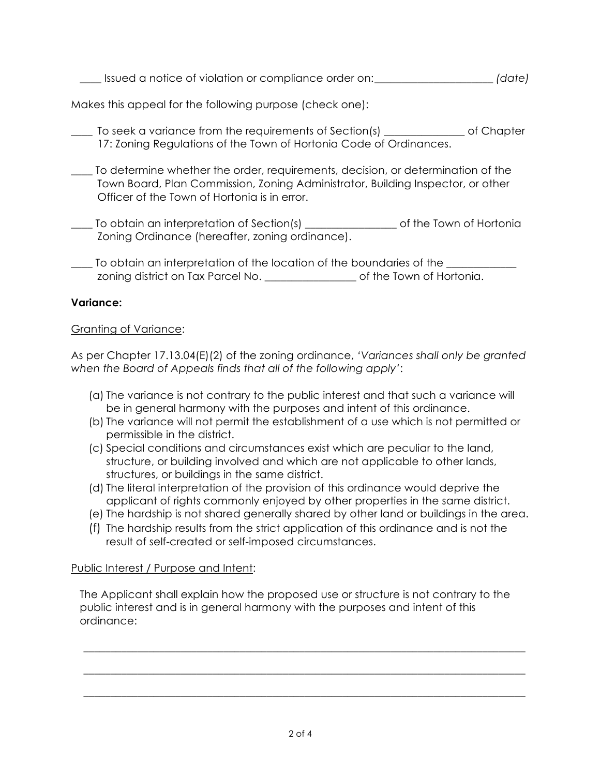\_\_\_\_ Issued a notice of violation or compliance order on:\_\_\_\_\_\_\_\_\_\_\_\_\_\_\_\_\_\_\_\_\_\_ *(date)*

Makes this appeal for the following purpose (check one):

- To seek a variance from the requirements of Section(s) The solution of Chapter 17: Zoning Regulations of the Town of Hortonia Code of Ordinances.
- \_\_\_\_ To determine whether the order, requirements, decision, or determination of the Town Board, Plan Commission, Zoning Administrator, Building Inspector, or other Officer of the Town of Hortonia is in error.
- \_\_\_\_ To obtain an interpretation of Section(s) \_\_\_\_\_\_\_\_\_\_\_\_\_\_\_\_\_ of the Town of Hortonia Zoning Ordinance (hereafter, zoning ordinance).
- \_\_\_\_ To obtain an interpretation of the location of the boundaries of the \_\_\_\_\_\_\_\_\_\_\_\_\_ zoning district on Tax Parcel No. \_\_\_\_\_\_\_\_\_\_\_\_\_\_\_\_\_ of the Town of Hortonia.

## **Variance:**

## Granting of Variance:

As per Chapter 17.13.04(E)(2) of the zoning ordinance, *'Variances shall only be granted when the Board of Appeals finds that all of the following apply'*:

- (a) The variance is not contrary to the public interest and that such a variance will be in general harmony with the purposes and intent of this ordinance.
- (b) The variance will not permit the establishment of a use which is not permitted or permissible in the district.
- (c) Special conditions and circumstances exist which are peculiar to the land, structure, or building involved and which are not applicable to other lands, structures, or buildings in the same district.
- (d) The literal interpretation of the provision of this ordinance would deprive the applicant of rights commonly enjoyed by other properties in the same district.
- (e) The hardship is not shared generally shared by other land or buildings in the area.
- (f) The hardship results from the strict application of this ordinance and is not the result of self-created or self-imposed circumstances.

## Public Interest / Purpose and Intent:

The Applicant shall explain how the proposed use or structure is not contrary to the public interest and is in general harmony with the purposes and intent of this ordinance:

\_\_\_\_\_\_\_\_\_\_\_\_\_\_\_\_\_\_\_\_\_\_\_\_\_\_\_\_\_\_\_\_\_\_\_\_\_\_\_\_\_\_\_\_\_\_\_\_\_\_\_\_\_\_\_\_\_\_\_\_\_\_\_\_\_\_\_\_\_\_\_\_\_\_\_\_\_\_\_\_\_\_

\_\_\_\_\_\_\_\_\_\_\_\_\_\_\_\_\_\_\_\_\_\_\_\_\_\_\_\_\_\_\_\_\_\_\_\_\_\_\_\_\_\_\_\_\_\_\_\_\_\_\_\_\_\_\_\_\_\_\_\_\_\_\_\_\_\_\_\_\_\_\_\_\_\_\_\_\_\_\_\_\_\_

\_\_\_\_\_\_\_\_\_\_\_\_\_\_\_\_\_\_\_\_\_\_\_\_\_\_\_\_\_\_\_\_\_\_\_\_\_\_\_\_\_\_\_\_\_\_\_\_\_\_\_\_\_\_\_\_\_\_\_\_\_\_\_\_\_\_\_\_\_\_\_\_\_\_\_\_\_\_\_\_\_\_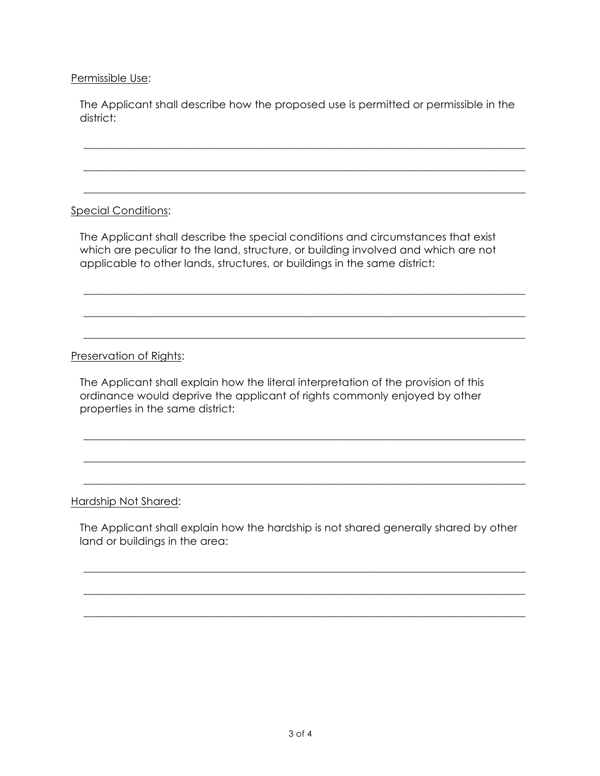#### Permissible Use:

The Applicant shall describe how the proposed use is permitted or permissible in the district:

\_\_\_\_\_\_\_\_\_\_\_\_\_\_\_\_\_\_\_\_\_\_\_\_\_\_\_\_\_\_\_\_\_\_\_\_\_\_\_\_\_\_\_\_\_\_\_\_\_\_\_\_\_\_\_\_\_\_\_\_\_\_\_\_\_\_\_\_\_\_\_\_\_\_\_\_\_\_\_\_\_\_

\_\_\_\_\_\_\_\_\_\_\_\_\_\_\_\_\_\_\_\_\_\_\_\_\_\_\_\_\_\_\_\_\_\_\_\_\_\_\_\_\_\_\_\_\_\_\_\_\_\_\_\_\_\_\_\_\_\_\_\_\_\_\_\_\_\_\_\_\_\_\_\_\_\_\_\_\_\_\_\_\_\_

\_\_\_\_\_\_\_\_\_\_\_\_\_\_\_\_\_\_\_\_\_\_\_\_\_\_\_\_\_\_\_\_\_\_\_\_\_\_\_\_\_\_\_\_\_\_\_\_\_\_\_\_\_\_\_\_\_\_\_\_\_\_\_\_\_\_\_\_\_\_\_\_\_\_\_\_\_\_\_\_\_\_

\_\_\_\_\_\_\_\_\_\_\_\_\_\_\_\_\_\_\_\_\_\_\_\_\_\_\_\_\_\_\_\_\_\_\_\_\_\_\_\_\_\_\_\_\_\_\_\_\_\_\_\_\_\_\_\_\_\_\_\_\_\_\_\_\_\_\_\_\_\_\_\_\_\_\_\_\_\_\_\_\_\_

\_\_\_\_\_\_\_\_\_\_\_\_\_\_\_\_\_\_\_\_\_\_\_\_\_\_\_\_\_\_\_\_\_\_\_\_\_\_\_\_\_\_\_\_\_\_\_\_\_\_\_\_\_\_\_\_\_\_\_\_\_\_\_\_\_\_\_\_\_\_\_\_\_\_\_\_\_\_\_\_\_\_

\_\_\_\_\_\_\_\_\_\_\_\_\_\_\_\_\_\_\_\_\_\_\_\_\_\_\_\_\_\_\_\_\_\_\_\_\_\_\_\_\_\_\_\_\_\_\_\_\_\_\_\_\_\_\_\_\_\_\_\_\_\_\_\_\_\_\_\_\_\_\_\_\_\_\_\_\_\_\_\_\_\_

\_\_\_\_\_\_\_\_\_\_\_\_\_\_\_\_\_\_\_\_\_\_\_\_\_\_\_\_\_\_\_\_\_\_\_\_\_\_\_\_\_\_\_\_\_\_\_\_\_\_\_\_\_\_\_\_\_\_\_\_\_\_\_\_\_\_\_\_\_\_\_\_\_\_\_\_\_\_\_\_\_\_

\_\_\_\_\_\_\_\_\_\_\_\_\_\_\_\_\_\_\_\_\_\_\_\_\_\_\_\_\_\_\_\_\_\_\_\_\_\_\_\_\_\_\_\_\_\_\_\_\_\_\_\_\_\_\_\_\_\_\_\_\_\_\_\_\_\_\_\_\_\_\_\_\_\_\_\_\_\_\_\_\_\_

\_\_\_\_\_\_\_\_\_\_\_\_\_\_\_\_\_\_\_\_\_\_\_\_\_\_\_\_\_\_\_\_\_\_\_\_\_\_\_\_\_\_\_\_\_\_\_\_\_\_\_\_\_\_\_\_\_\_\_\_\_\_\_\_\_\_\_\_\_\_\_\_\_\_\_\_\_\_\_\_\_\_

### Special Conditions:

The Applicant shall describe the special conditions and circumstances that exist which are peculiar to the land, structure, or building involved and which are not applicable to other lands, structures, or buildings in the same district:

### Preservation of Rights:

The Applicant shall explain how the literal interpretation of the provision of this ordinance would deprive the applicant of rights commonly enjoyed by other properties in the same district:

#### Hardship Not Shared:

The Applicant shall explain how the hardship is not shared generally shared by other land or buildings in the area:

\_\_\_\_\_\_\_\_\_\_\_\_\_\_\_\_\_\_\_\_\_\_\_\_\_\_\_\_\_\_\_\_\_\_\_\_\_\_\_\_\_\_\_\_\_\_\_\_\_\_\_\_\_\_\_\_\_\_\_\_\_\_\_\_\_\_\_\_\_\_\_\_\_\_\_\_\_\_\_\_\_\_

\_\_\_\_\_\_\_\_\_\_\_\_\_\_\_\_\_\_\_\_\_\_\_\_\_\_\_\_\_\_\_\_\_\_\_\_\_\_\_\_\_\_\_\_\_\_\_\_\_\_\_\_\_\_\_\_\_\_\_\_\_\_\_\_\_\_\_\_\_\_\_\_\_\_\_\_\_\_\_\_\_\_

\_\_\_\_\_\_\_\_\_\_\_\_\_\_\_\_\_\_\_\_\_\_\_\_\_\_\_\_\_\_\_\_\_\_\_\_\_\_\_\_\_\_\_\_\_\_\_\_\_\_\_\_\_\_\_\_\_\_\_\_\_\_\_\_\_\_\_\_\_\_\_\_\_\_\_\_\_\_\_\_\_\_